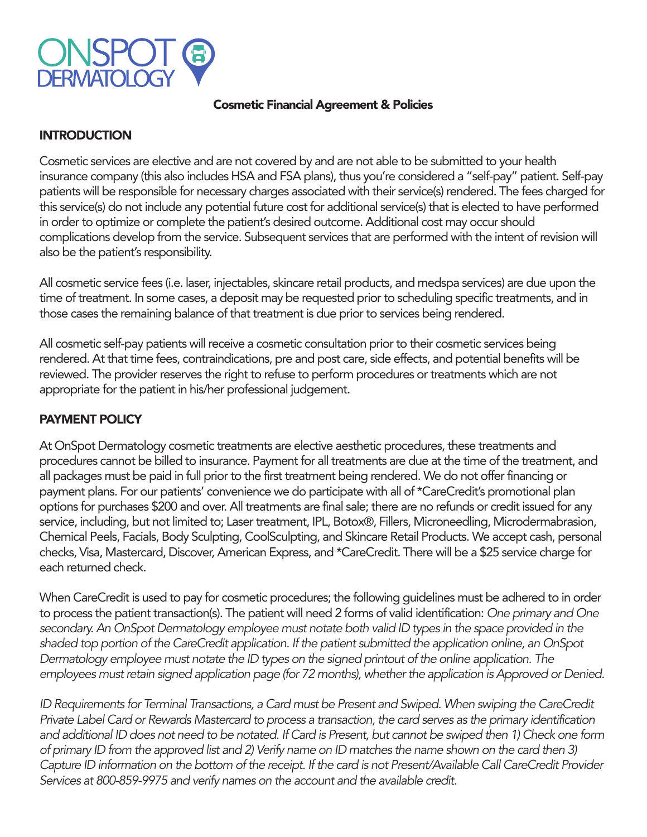

#### Cosmetic Financial Agreement & Policies

## **INTRODUCTION**

Cosmetic services are elective and are not covered by and are not able to be submitted to your health insurance company (this also includes HSA and FSA plans), thus you're considered a "self-pay" patient. Self-pay patients will be responsible for necessary charges associated with their service(s) rendered. The fees charged for this service(s) do not include any potential future cost for additional service(s) that is elected to have performed in order to optimize or complete the patient's desired outcome. Additional cost may occur should complications develop from the service. Subsequent services that are performed with the intent of revision will also be the patient's responsibility.

All cosmetic service fees (i.e. laser, injectables, skincare retail products, and medspa services) are due upon the time of treatment. In some cases, a deposit may be requested prior to scheduling specific treatments, and in those cases the remaining balance of that treatment is due prior to services being rendered.

All cosmetic self-pay patients will receive a cosmetic consultation prior to their cosmetic services being rendered. At that time fees, contraindications, pre and post care, side effects, and potential benefits will be reviewed. The provider reserves the right to refuse to perform procedures or treatments which are not appropriate for the patient in his/her professional judgement.

## PAYMENT POLICY

At OnSpot Dermatology cosmetic treatments are elective aesthetic procedures, these treatments and procedures cannot be billed to insurance. Payment for all treatments are due at the time of the treatment, and all packages must be paid in full prior to the first treatment being rendered. We do not offer financing or payment plans. For our patients' convenience we do participate with all of \*CareCredit's promotional plan options for purchases \$200 and over. All treatments are final sale; there are no refunds or credit issued for any service, including, but not limited to; Laser treatment, IPL, Botox®, Fillers, Microneedling, Microdermabrasion, Chemical Peels, Facials, Body Sculpting, CoolSculpting, and Skincare Retail Products. We accept cash, personal checks, Visa, Mastercard, Discover, American Express, and \*CareCredit. There will be a \$25 service charge for each returned check.

When CareCredit is used to pay for cosmetic procedures; the following guidelines must be adhered to in order to process the patient transaction(s). The patient will need 2 forms of valid identification: One primary and One secondary. An OnSpot Dermatology employee must notate both valid ID types in the space provided in the shaded top portion of the CareCredit application. If the patient submitted the application online, an OnSpot Dermatology employee must notate the ID types on the signed printout of the online application. The employees must retain signed application page (for 72 months), whether the application is Approved or Denied.

ID Requirements for Terminal Transactions, a Card must be Present and Swiped. When swiping the CareCredit Private Label Card or Rewards Mastercard to process a transaction, the card serves as the primary identification and additional ID does not need to be notated. If Card is Present, but cannot be swiped then 1) Check one form of primary ID from the approved list and 2) Verify name on ID matches the name shown on the card then 3) Capture ID information on the bottom of the receipt. If the card is not Present/Available Call CareCredit Provider Services at 800-859-9975 and verify names on the account and the available credit.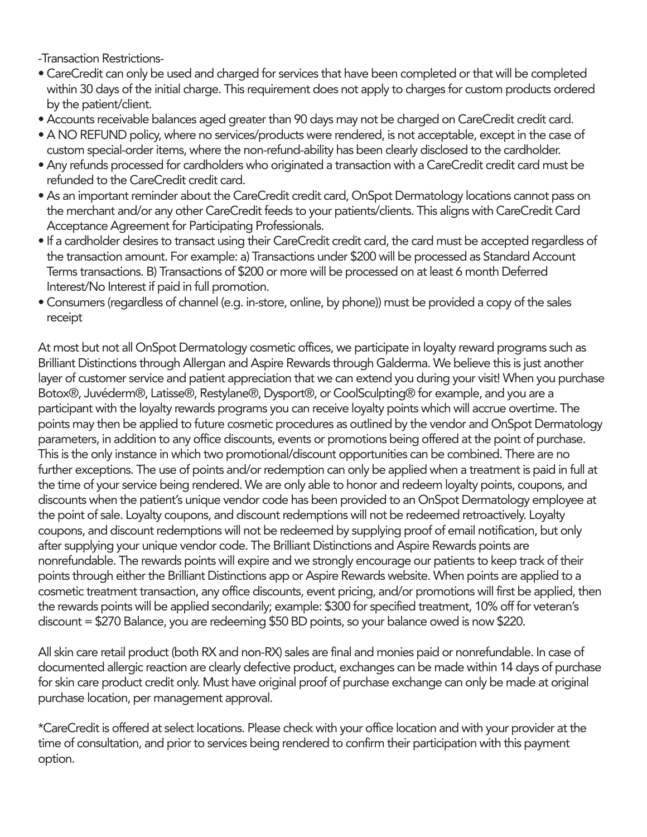-Transaction Restrictions-

- CareCredit can only be used and charged for services that have been completed or that will be completed within 30 days of the initial charge. This requirement does not apply to charges for custom products ordered by the patient/client.
- Accounts receivable balances aged greater than 90 days may not be charged on CareCredit credit card.
- A NO REFUND policy, where no services/products were rendered, is not acceptable, except in the case of custom special-order items, where the non-refund-ability has been clearly disclosed to the cardholder.
- Any refunds processed for cardholders who originated a transaction with a CareCredit credit card must be refunded to the CareCredit credit card.
- As an important reminder about the CareCredit credit card, OnSpot Dermatology locations cannot pass on the merchant and/or any other CareCredit feeds to your patients/clients. This aligns with CareCredit Card Acceptance Agreement for Participating Professionals.
- If a cardholder desires to transact using their CareCredit credit card, the card must be accepted regardless of the transaction amount. For example: a) Transactions under \$200 will be processed as Standard Account Terms transactions. B) Transactions of \$200 or more will be processed on at least 6 month Deferred Interest/No Interest if paid in full promotion.
- Consumers (regardless of channel (e.g. in-store, online, by phone)) must be provided a copy of the sales receipt

At most but not all OnSpot Dermatology cosmetic offices, we participate in loyalty reward programs such as Brilliant Distinctions through Allergan and Aspire Rewards through Galderma. We believe this is just another layer of customer service and patient appreciation that we can extend you during your visit! When you purchase Botox®, Juvéderm®, Latisse®, Restylane®, Dysport®, or CoolSculpting® for example, and you are a participant with the loyalty rewards programs you can receive loyalty points which will accrue overtime. The points may then be applied to future cosmetic procedures as outlined by the vendor and OnSpot Dermatology parameters, in addition to any office discounts, events or promotions being offered at the point of purchase. This is the only instance in which two promotional/discount opportunities can be combined. There are no further exceptions. The use of points and/or redemption can only be applied when a treatment is paid in full at the time of your service being rendered. We are only able to honor and redeem loyalty points, coupons, and discounts when the patient's unique vendor code has been provided to an OnSpot Dermatology employee at the point of sale. Loyalty coupons, and discount redemptions will not be redeemed retroactively. Loyalty coupons, and discount redemptions will not be redeemed by supplying proof of email notification, but only after supplying your unique vendor code. The Brilliant Distinctions and Aspire Rewards points are nonrefundable. The rewards points will expire and we strongly encourage our patients to keep track of their points through either the Brilliant Distinctions app or Aspire Rewards website. When points are applied to a cosmetic treatment transaction, any office discounts, event pricing, and/or promotions will first be applied, then the rewards points will be applied secondarily; example: \$300 for specified treatment, 10% off for veteran's discount = \$270 Balance, you are redeeming \$50 BD points, so your balance owed is now \$220.

All skin care retail product (both RX and non-RX) sales are final and monies paid or nonrefundable. In case of documented allergic reaction are clearly defective product, exchanges can be made within 14 days of purchase for skin care product credit only. Must have original proof of purchase exchange can only be made at original purchase location, per management approval.

\*CareCredit is offered at select locations. Please check with your office location and with your provider at the time of consultation, and prior to services being rendered to confirm their participation with this payment option.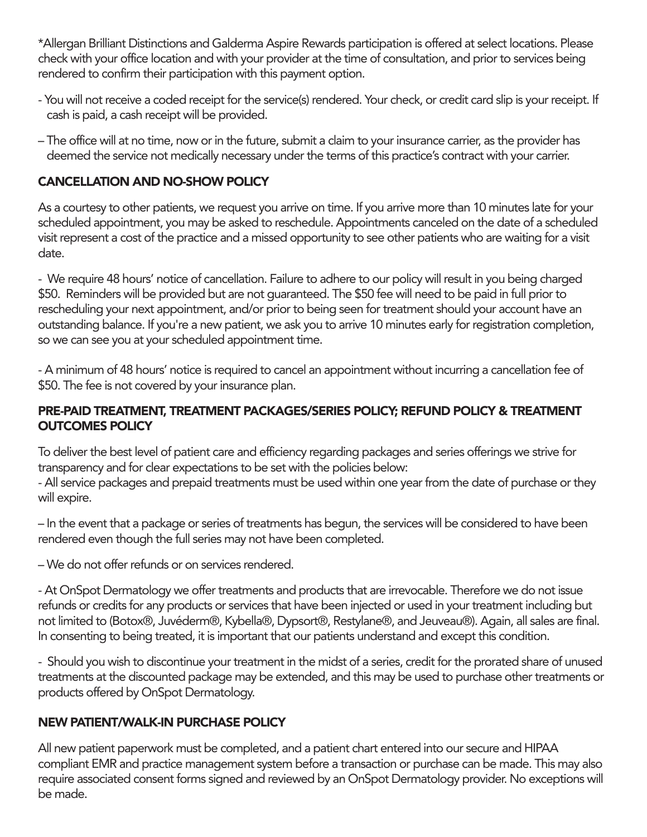\*Allergan Brilliant Distinctions and Galderma Aspire Rewards participation is offered at select locations. Please check with your office location and with your provider at the time of consultation, and prior to services being rendered to confirm their participation with this payment option.

- You will not receive a coded receipt for the service(s) rendered. Your check, or credit card slip is your receipt. If cash is paid, a cash receipt will be provided.
- The office will at no time, now or in the future, submit a claim to your insurance carrier, as the provider has deemed the service not medically necessary under the terms of this practice's contract with your carrier.

## CANCELLATION AND NO-SHOW POLICY

As a courtesy to other patients, we request you arrive on time. If you arrive more than 10 minutes late for your scheduled appointment, you may be asked to reschedule. Appointments canceled on the date of a scheduled visit represent a cost of the practice and a missed opportunity to see other patients who are waiting for a visit date.

- We require 48 hours' notice of cancellation. Failure to adhere to our policy will result in you being charged \$50. Reminders will be provided but are not quaranteed. The \$50 fee will need to be paid in full prior to rescheduling your next appointment, and/or prior to being seen for treatment should your account have an outstanding balance. If you're a new patient, we ask you to arrive 10 minutes early for registration completion, so we can see you at your scheduled appointment time.

- A minimum of 48 hours' notice is required to cancel an appointment without incurring a cancellation fee of \$50. The fee is not covered by your insurance plan.

## PRE-PAID TREATMENT, TREATMENT PACKAGES/SERIES POLICY; REFUND POLICY & TREATMENT OUTCOMES POLICY

To deliver the best level of patient care and efficiency regarding packages and series offerings we strive for transparency and for clear expectations to be set with the policies below:

- All service packages and prepaid treatments must be used within one year from the date of purchase or they will expire.

– In the event that a package or series of treatments has begun, the services will be considered to have been rendered even though the full series may not have been completed.

– We do not offer refunds or on services rendered.

- At OnSpot Dermatology we offer treatments and products that are irrevocable. Therefore we do not issue refunds or credits for any products or services that have been injected or used in your treatment including but not limited to (Botox®, Juvéderm®, Kybella®, Dypsort®, Restylane®, and Jeuveau®). Again, all sales are final. In consenting to being treated, it is important that our patients understand and except this condition.

- Should you wish to discontinue your treatment in the midst of a series, credit for the prorated share of unused treatments at the discounted package may be extended, and this may be used to purchase other treatments or products offered by OnSpot Dermatology.

# NEW PATIENT/WALK-IN PURCHASE POLICY

All new patient paperwork must be completed, and a patient chart entered into our secure and HIPAA compliant EMR and practice management system before a transaction or purchase can be made. This may also require associated consent forms signed and reviewed by an OnSpot Dermatology provider. No exceptions will be made.